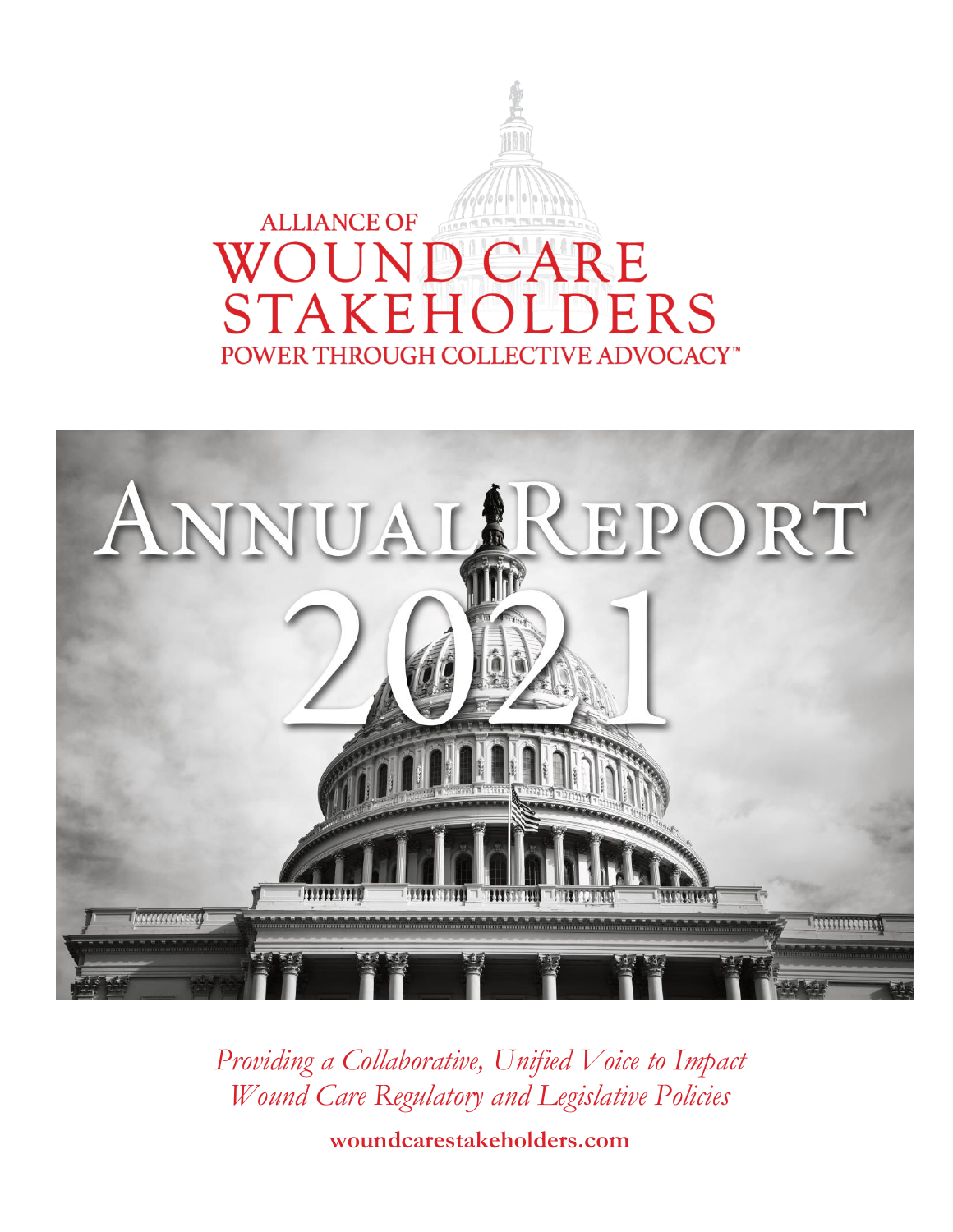



*Providing a Collaborative, Unified Voice to Impact Wound Care Regulatory and Legislative Policies*

**woundcarestakeholders.com**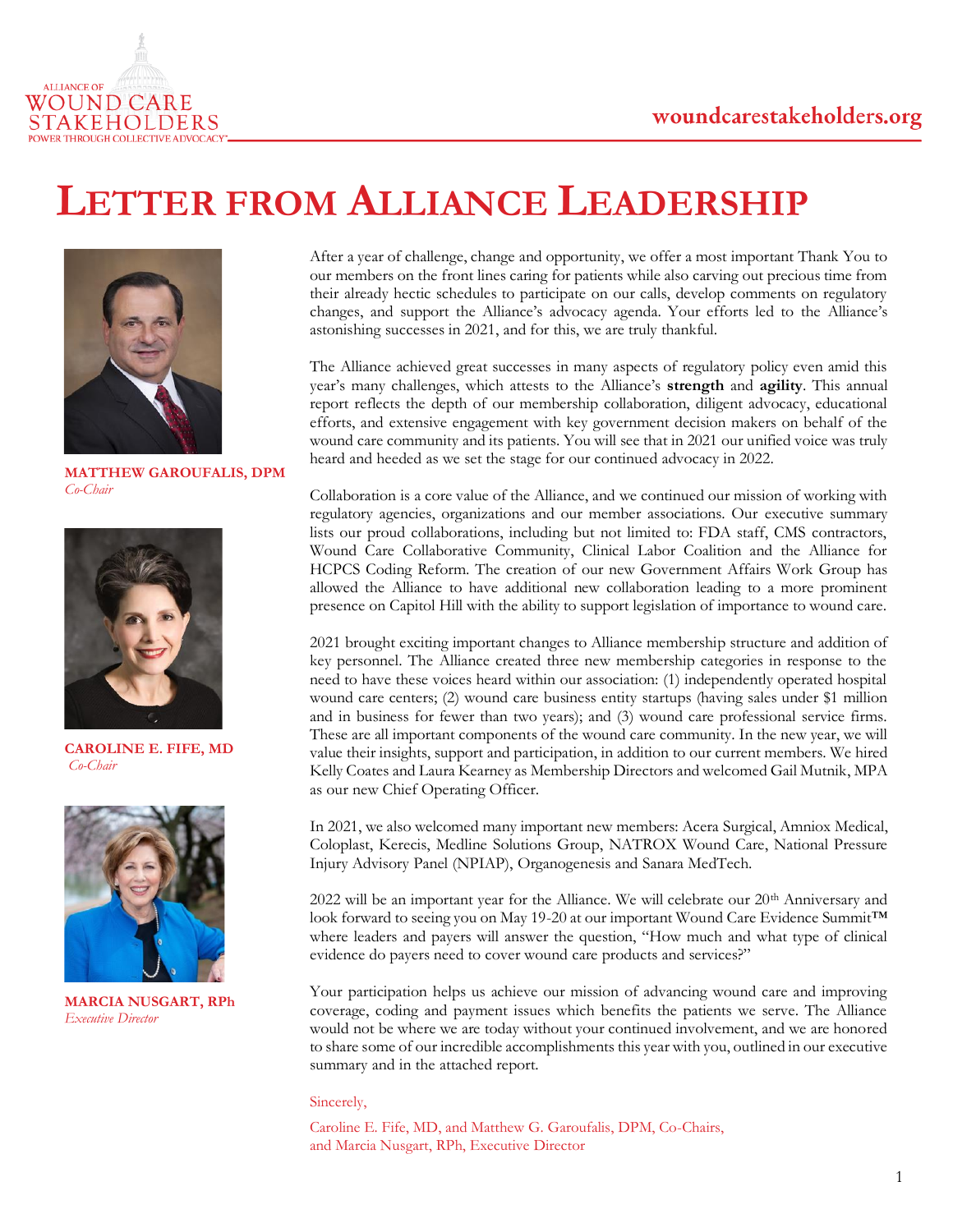

### **LETTER FROM ALLIANCE LEADERSHIP**



**MATTHEW GAROUFALIS, DPM** *Co-Chair*



**CAROLINE E. FIFE, MD** *Co-Chair*



**MARCIA NUSGART, RPh** *Executive Director*

After a year of challenge, change and opportunity, we offer a most important Thank You to our members on the front lines caring for patients while also carving out precious time from their already hectic schedules to participate on our calls, develop comments on regulatory changes, and support the Alliance's advocacy agenda. Your efforts led to the Alliance's astonishing successes in 2021, and for this, we are truly thankful.

The Alliance achieved great successes in many aspects of regulatory policy even amid this year's many challenges, which attests to the Alliance's **strength** and **agility**. This annual report reflects the depth of our membership collaboration, diligent advocacy, educational efforts, and extensive engagement with key government decision makers on behalf of the wound care community and its patients. You will see that in 2021 our unified voice was truly heard and heeded as we set the stage for our continued advocacy in 2022.

Collaboration is a core value of the Alliance, and we continued our mission of working with regulatory agencies, organizations and our member associations. Our executive summary lists our proud collaborations, including but not limited to: FDA staff, CMS contractors, Wound Care Collaborative Community, Clinical Labor Coalition and the Alliance for HCPCS Coding Reform. The creation of our new Government Affairs Work Group has allowed the Alliance to have additional new collaboration leading to a more prominent presence on Capitol Hill with the ability to support legislation of importance to wound care.

2021 brought exciting important changes to Alliance membership structure and addition of key personnel. The Alliance created three new membership categories in response to the need to have these voices heard within our association: (1) independently operated hospital wound care centers; (2) wound care business entity startups (having sales under \$1 million and in business for fewer than two years); and (3) wound care professional service firms. These are all important components of the wound care community. In the new year, we will value their insights, support and participation, in addition to our current members. We hired Kelly Coates and Laura Kearney as Membership Directors and welcomed Gail Mutnik, MPA as our new Chief Operating Officer.

In 2021, we also welcomed many important new members: Acera Surgical, Amniox Medical, Coloplast, Kerecis, Medline Solutions Group, NATROX Wound Care, National Pressure Injury Advisory Panel (NPIAP), Organogenesis and Sanara MedTech.

2022 will be an important year for the Alliance. We will celebrate our 20<sup>th</sup> Anniversary and look forward to seeing you on May 19-20 at our important Wound Care Evidence Summit™ where leaders and payers will answer the question, "How much and what type of clinical evidence do payers need to cover wound care products and services?"

Your participation helps us achieve our mission of advancing wound care and improving coverage, coding and payment issues which benefits the patients we serve. The Alliance would not be where we are today without your continued involvement, and we are honored to share some of our incredible accomplishments this year with you, outlined in our executive summary and in the attached report.

#### Sincerely,

Caroline E. Fife, MD, and Matthew G. Garoufalis, DPM, Co-Chairs, and Marcia Nusgart, RPh, Executive Director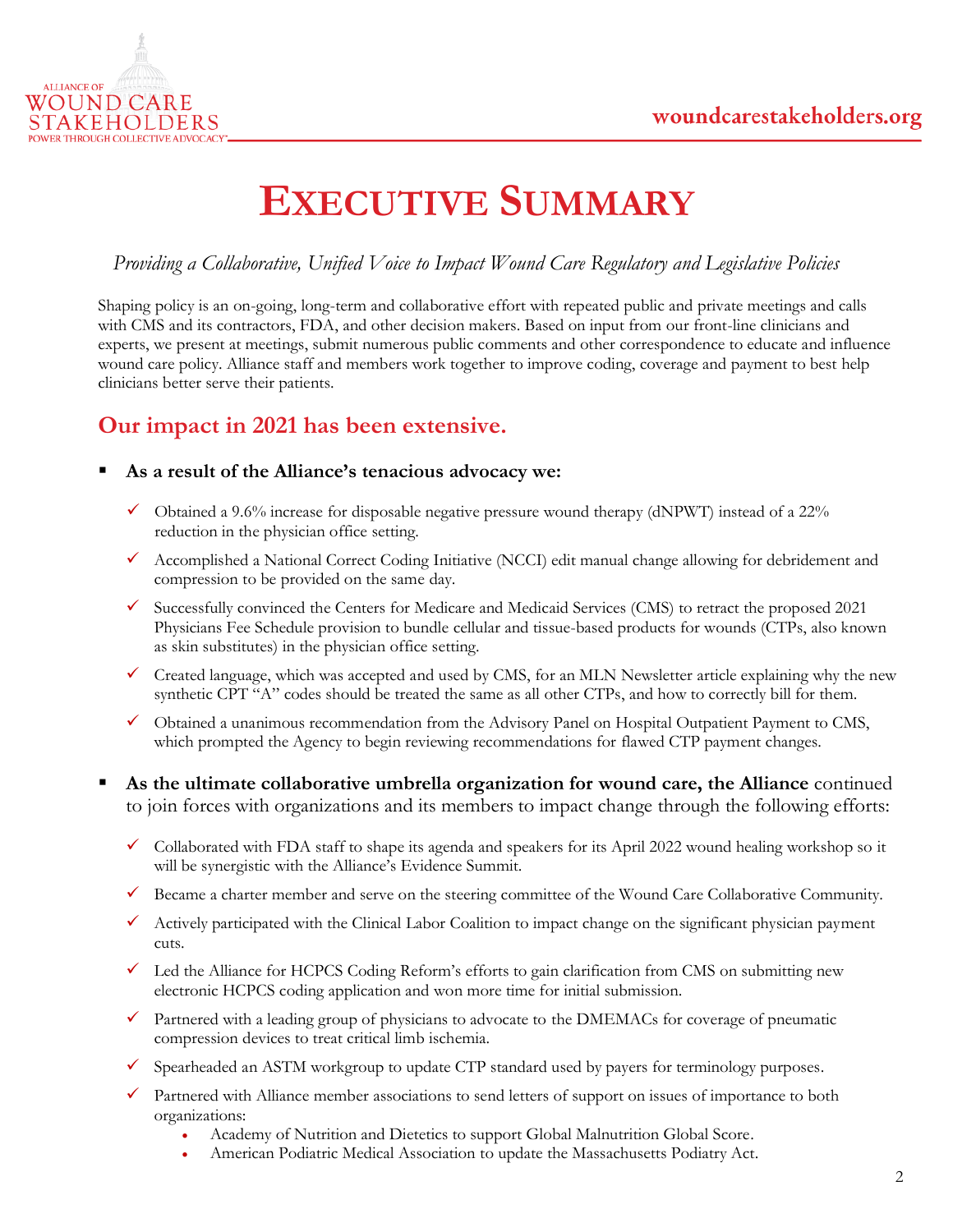

## **EXECUTIVE SUMMARY**

### *Providing a Collaborative, Unified Voice to Impact Wound Care Regulatory and Legislative Policies*

Shaping policy is an on-going, long-term and collaborative effort with repeated public and private meetings and calls with CMS and its contractors, FDA, and other decision makers. Based on input from our front-line clinicians and experts, we present at meetings, submit numerous public comments and other correspondence to educate and influence wound care policy. Alliance staff and members work together to improve coding, coverage and payment to best help clinicians better serve their patients.

### **Our impact in 2021 has been extensive.**

- As a result of the Alliance's tenacious advocacy we:
	- $\checkmark$  Obtained a 9.6% increase for disposable negative pressure wound therapy (dNPWT) instead of a 22% reduction in the physician office setting.
	- ✓ Accomplished a National Correct Coding Initiative (NCCI) edit manual change allowing for debridement and compression to be provided on the same day.
	- Successfully convinced the Centers for Medicare and Medicaid Services (CMS) to retract the proposed 2021 Physicians Fee Schedule provision to bundle cellular and tissue-based products for wounds (CTPs, also known as skin substitutes) in the physician office setting.
	- ✓ Created language, which was accepted and used by CMS, for an MLN Newsletter article explaining why the new synthetic CPT "A" codes should be treated the same as all other CTPs, and how to correctly bill for them.
	- ✓ Obtained a unanimous recommendation from the Advisory Panel on Hospital Outpatient Payment to CMS, which prompted the Agency to begin reviewing recommendations for flawed CTP payment changes.
- As the ultimate collaborative umbrella organization for wound care, the Alliance continued to join forces with organizations and its members to impact change through the following efforts:
	- ✓ Collaborated with FDA staff to shape its agenda and speakers for its April 2022 wound healing workshop so it will be synergistic with the Alliance's Evidence Summit.
	- $\checkmark$  Became a charter member and serve on the steering committee of the Wound Care Collaborative Community.
	- ✓ Actively participated with the Clinical Labor Coalition to impact change on the significant physician payment cuts.
	- $\checkmark$  Led the Alliance for HCPCS Coding Reform's efforts to gain clarification from CMS on submitting new electronic HCPCS coding application and won more time for initial submission.
	- $\checkmark$  Partnered with a leading group of physicians to advocate to the DMEMACs for coverage of pneumatic compression devices to treat critical limb ischemia.
	- Spearheaded an ASTM workgroup to update CTP standard used by payers for terminology purposes.
	- ✓ Partnered with Alliance member associations to send letters of support on issues of importance to both organizations:
		- Academy of Nutrition and Dietetics to support Global Malnutrition Global Score.
		- American Podiatric Medical Association to update the Massachusetts Podiatry Act.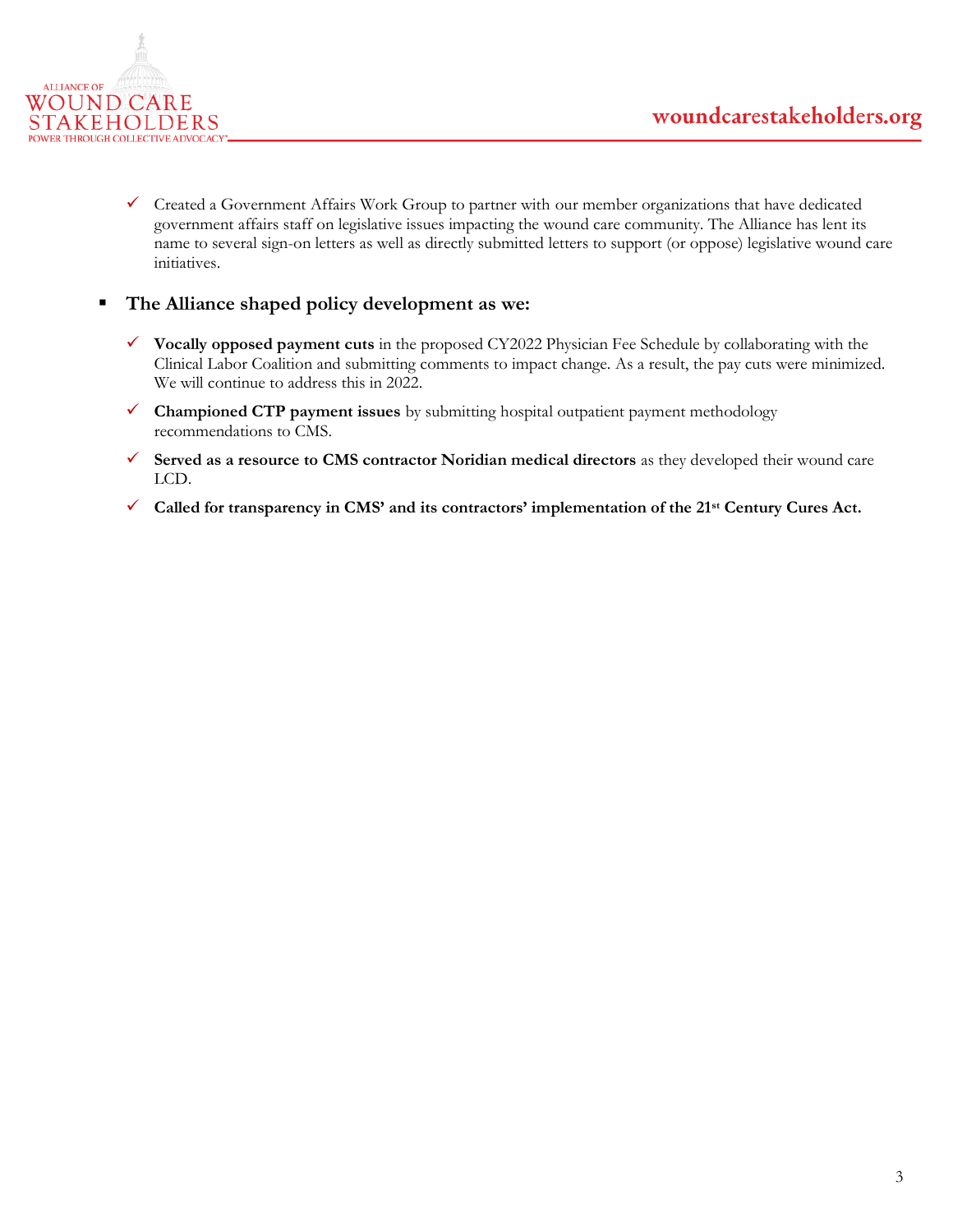

✓ Created a Government Affairs Work Group to partner with our member organizations that have dedicated government affairs staff on legislative issues impacting the wound care community. The Alliance has lent its name to several sign-on letters as well as directly submitted letters to support (or oppose) legislative wound care initiatives.

### ▪ **The Alliance shaped policy development as we:**

- ✓ **Vocally opposed payment cuts** in the proposed CY2022 Physician Fee Schedule by collaborating with the Clinical Labor Coalition and submitting comments to impact change. As a result, the pay cuts were minimized. We will continue to address this in 2022.
- ✓ **Championed CTP payment issues** by submitting hospital outpatient payment methodology recommendations to CMS.
- ✓ **Served as a resource to CMS contractor Noridian medical directors** as they developed their wound care LCD.
- ✓ **Called for transparency in CMS' and its contractors' implementation of the 21st Century Cures Act.**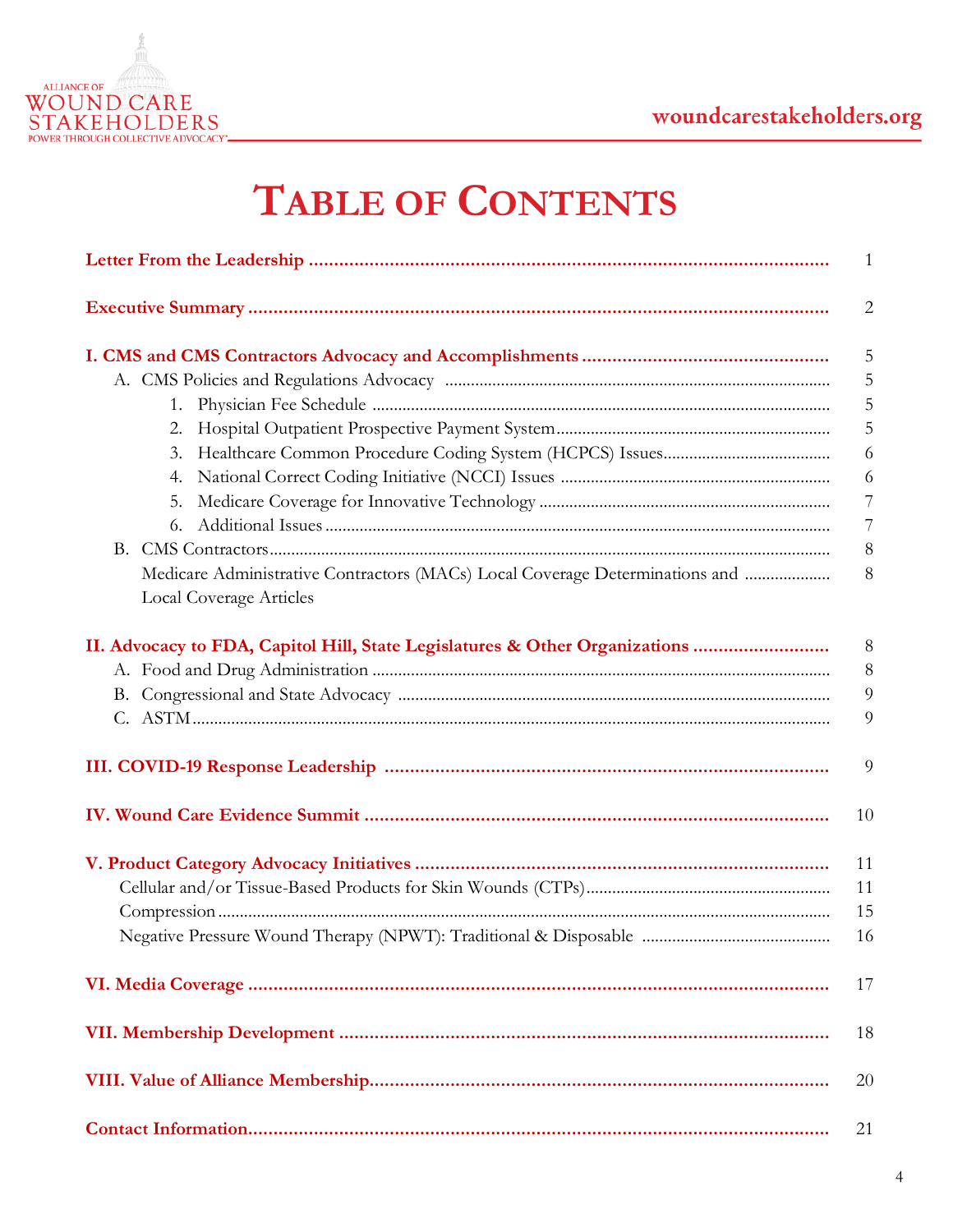

# **TABLE OF CONTENTS**

|                                                                                                         | $\mathbf{1}$   |
|---------------------------------------------------------------------------------------------------------|----------------|
|                                                                                                         | $\overline{2}$ |
|                                                                                                         | $\overline{5}$ |
|                                                                                                         | 5              |
| 1.                                                                                                      | 5              |
|                                                                                                         | 5              |
|                                                                                                         | 6              |
|                                                                                                         | 6              |
|                                                                                                         | 7              |
|                                                                                                         | $\overline{7}$ |
|                                                                                                         | $8\,$          |
| Medicare Administrative Contractors (MACs) Local Coverage Determinations and<br>Local Coverage Articles | 8              |
| II. Advocacy to FDA, Capitol Hill, State Legislatures & Other Organizations                             | $\,8\,$        |
|                                                                                                         | $8\,$          |
|                                                                                                         | 9              |
|                                                                                                         | 9              |
|                                                                                                         | 9              |
|                                                                                                         | 10             |
|                                                                                                         | 11             |
|                                                                                                         | 11             |
|                                                                                                         | 15             |
|                                                                                                         | 16             |
|                                                                                                         | 17             |
|                                                                                                         | 18             |
|                                                                                                         | 20             |
|                                                                                                         | 21             |